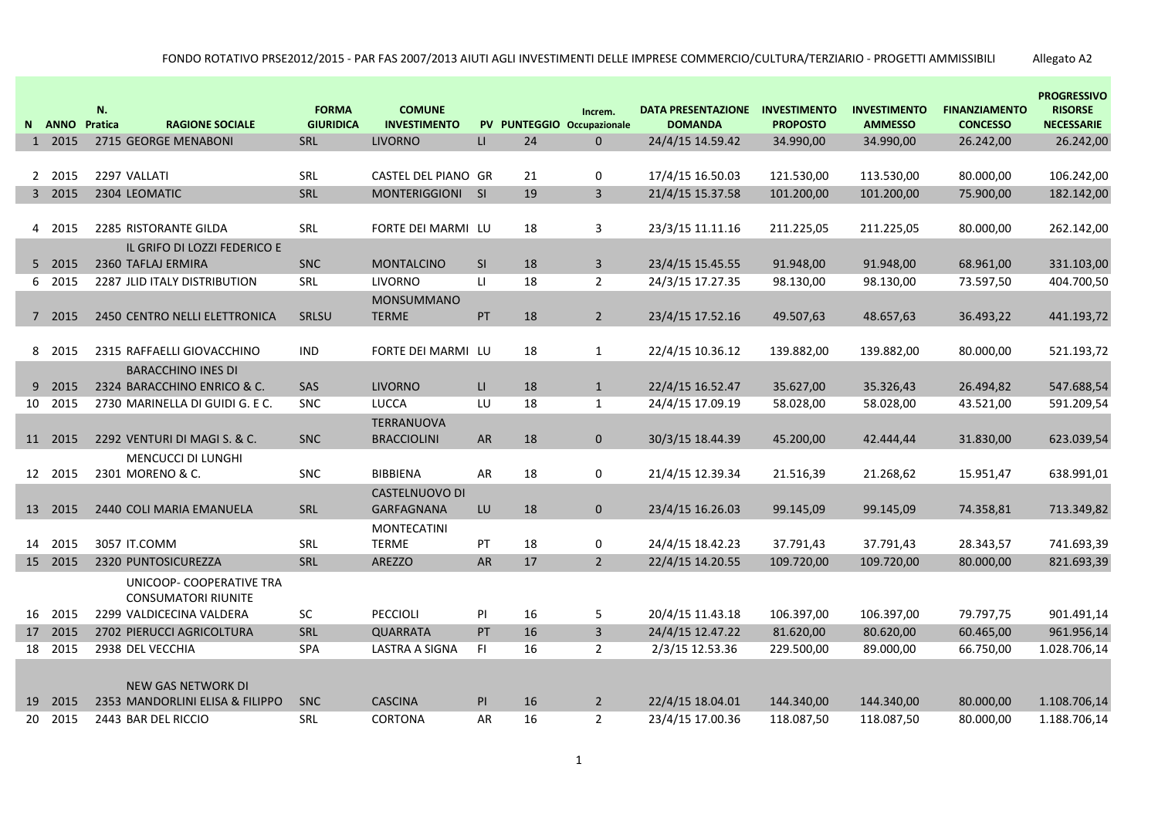| N  | <b>ANNO</b>     | N.<br>Pratica<br><b>RAGIONE SOCIALE</b>                        | <b>FORMA</b><br><b>GIURIDICA</b> | <b>COMUNE</b><br><b>INVESTIMENTO</b> |              |          | Increm.<br>PV PUNTEGGIO Occupazionale | <b>DATA PRESENTAZIONE</b><br><b>DOMANDA</b> | <b>INVESTIMENTO</b><br><b>PROPOSTO</b> | <b>INVESTIMENTO</b><br><b>AMMESSO</b> | <b>FINANZIAMENTO</b><br><b>CONCESSO</b> | <b>PROGRESSIVO</b><br><b>RISORSE</b><br><b>NECESSARIE</b> |
|----|-----------------|----------------------------------------------------------------|----------------------------------|--------------------------------------|--------------|----------|---------------------------------------|---------------------------------------------|----------------------------------------|---------------------------------------|-----------------------------------------|-----------------------------------------------------------|
|    | 1 2015          | 2715 GEORGE MENABONI                                           | SRL                              | <b>LIVORNO</b>                       | $\mathsf{L}$ | 24       | $\mathbf{0}$                          | 24/4/15 14.59.42                            | 34.990,00                              | 34.990,00                             | 26.242,00                               | 26.242,00                                                 |
|    |                 |                                                                |                                  |                                      |              |          |                                       |                                             |                                        |                                       |                                         |                                                           |
|    | 2 2015          | 2297 VALLATI                                                   | SRL                              | CASTEL DEL PIANO GR                  |              | 21       | 0                                     | 17/4/15 16.50.03                            | 121.530,00                             | 113.530,00                            | 80.000,00                               | 106.242,00                                                |
|    | 3 2015          | 2304 LEOMATIC                                                  | SRL                              | MONTERIGGIONI                        | S1           | 19       | $\overline{3}$                        | 21/4/15 15.37.58                            | 101.200,00                             | 101.200,00                            | 75.900,00                               | 182.142,00                                                |
|    |                 |                                                                |                                  |                                      |              |          |                                       |                                             |                                        |                                       |                                         |                                                           |
|    | 4 2015          | 2285 RISTORANTE GILDA                                          | <b>SRL</b>                       | FORTE DEI MARMI LU                   |              | 18       | 3                                     | 23/3/15 11.11.16                            | 211.225,05                             | 211.225,05                            | 80.000,00                               | 262.142,00                                                |
|    |                 | IL GRIFO DI LOZZI FEDERICO E                                   |                                  |                                      |              |          |                                       |                                             |                                        |                                       |                                         |                                                           |
|    | 5 2015          | 2360 TAFLAJ ERMIRA                                             | <b>SNC</b>                       | <b>MONTALCINO</b>                    | SI           | 18       | $\overline{3}$                        | 23/4/15 15.45.55                            | 91.948,00                              | 91.948,00                             | 68.961,00                               | 331.103,00                                                |
| 6  | 2015            | <b>2287 JLID ITALY DISTRIBUTION</b>                            | SRL                              | <b>LIVORNO</b>                       | LI.          | 18       | $\overline{2}$                        | 24/3/15 17.27.35                            | 98.130,00                              | 98.130,00                             | 73.597,50                               | 404.700,50                                                |
|    |                 |                                                                |                                  | <b>MONSUMMANO</b>                    |              |          |                                       |                                             |                                        |                                       |                                         |                                                           |
|    | 7 2015          | 2450 CENTRO NELLI ELETTRONICA                                  | SRLSU                            | <b>TERME</b>                         | PT           | 18       | $\overline{2}$                        | 23/4/15 17.52.16                            | 49.507,63                              | 48.657,63                             | 36.493,22                               | 441.193,72                                                |
|    |                 |                                                                |                                  |                                      |              |          |                                       |                                             |                                        |                                       |                                         |                                                           |
|    | 8 2015          | 2315 RAFFAELLI GIOVACCHINO                                     | <b>IND</b>                       | FORTE DEI MARMI LU                   |              | 18       | $\mathbf{1}$                          | 22/4/15 10.36.12                            | 139.882,00                             | 139.882,00                            | 80.000,00                               | 521.193,72                                                |
|    |                 | <b>BARACCHINO INES DI</b>                                      |                                  |                                      |              |          |                                       |                                             |                                        |                                       |                                         |                                                           |
| 9  | 2015<br>10 2015 | 2324 BARACCHINO ENRICO & C.<br>2730 MARINELLA DI GUIDI G. E C. | SAS                              | <b>LIVORNO</b><br><b>LUCCA</b>       | LI.<br>LU    | 18<br>18 | $\mathbf{1}$<br>$\mathbf{1}$          | 22/4/15 16.52.47<br>24/4/15 17.09.19        | 35.627,00<br>58.028,00                 | 35.326,43<br>58.028,00                | 26.494,82<br>43.521,00                  | 547.688,54<br>591.209,54                                  |
|    |                 |                                                                | <b>SNC</b>                       |                                      |              |          |                                       |                                             |                                        |                                       |                                         |                                                           |
|    | 11 2015         | 2292 VENTURI DI MAGI S. & C.                                   | <b>SNC</b>                       | TERRANUOVA<br><b>BRACCIOLINI</b>     | ${\sf AR}$   | 18       | $\mathbf{0}$                          | 30/3/15 18.44.39                            | 45.200,00                              | 42.444,44                             | 31.830,00                               | 623.039,54                                                |
|    |                 | MENCUCCI DI LUNGHI                                             |                                  |                                      |              |          |                                       |                                             |                                        |                                       |                                         |                                                           |
|    | 12 2015         | 2301 MORENO & C.                                               | <b>SNC</b>                       | <b>BIBBIENA</b>                      | AR           | 18       | 0                                     | 21/4/15 12.39.34                            | 21.516,39                              | 21.268,62                             | 15.951,47                               | 638.991,01                                                |
|    |                 |                                                                |                                  | <b>CASTELNUOVO DI</b>                |              |          |                                       |                                             |                                        |                                       |                                         |                                                           |
|    | 13 2015         | 2440 COLI MARIA EMANUELA                                       | SRL                              | GARFAGNANA                           | LU           | 18       | $\mathbf{0}$                          | 23/4/15 16.26.03                            | 99.145,09                              | 99.145,09                             | 74.358,81                               | 713.349,82                                                |
|    |                 |                                                                |                                  | <b>MONTECATINI</b>                   |              |          |                                       |                                             |                                        |                                       |                                         |                                                           |
|    | 14 2015         | 3057 IT.COMM                                                   | <b>SRL</b>                       | <b>TERME</b>                         | PT           | 18       | 0                                     | 24/4/15 18.42.23                            | 37.791,43                              | 37.791,43                             | 28.343,57                               | 741.693,39                                                |
|    | 15 2015         | 2320 PUNTOSICUREZZA                                            | SRL                              | <b>AREZZO</b>                        | AR           | 17       | $\overline{2}$                        | 22/4/15 14.20.55                            | 109.720,00                             | 109.720,00                            | 80.000,00                               | 821.693,39                                                |
|    |                 | UNICOOP- COOPERATIVE TRA                                       |                                  |                                      |              |          |                                       |                                             |                                        |                                       |                                         |                                                           |
|    |                 | <b>CONSUMATORI RIUNITE</b>                                     |                                  |                                      |              |          |                                       |                                             |                                        |                                       |                                         |                                                           |
|    | 16 2015         | 2299 VALDICECINA VALDERA                                       | SC.                              | PECCIOLI                             | PI           | 16       | 5                                     | 20/4/15 11.43.18                            | 106.397,00                             | 106.397,00                            | 79.797,75                               | 901.491,14                                                |
|    | 17 2015         | 2702 PIERUCCI AGRICOLTURA                                      | SRL                              | <b>QUARRATA</b>                      | PT           | 16       | $\overline{3}$                        | 24/4/15 12.47.22                            | 81.620,00                              | 80.620,00                             | 60.465,00                               | 961.956,14                                                |
|    | 18 2015         | 2938 DEL VECCHIA                                               | SPA                              | <b>LASTRA A SIGNA</b>                | F1           | 16       | $\overline{2}$                        | 2/3/15 12.53.36                             | 229.500,00                             | 89.000,00                             | 66.750,00                               | 1.028.706,14                                              |
|    |                 |                                                                |                                  |                                      |              |          |                                       |                                             |                                        |                                       |                                         |                                                           |
|    |                 | NEW GAS NETWORK DI                                             |                                  |                                      |              |          |                                       |                                             |                                        |                                       |                                         |                                                           |
| 19 | 2015            | 2353 MANDORLINI ELISA & FILIPPO                                | <b>SNC</b>                       | <b>CASCINA</b>                       | PI           | 16       | $\overline{2}$                        | 22/4/15 18.04.01                            | 144.340,00                             | 144.340,00                            | 80.000,00                               | 1.108.706,14                                              |
| 20 | 2015            | 2443 BAR DEL RICCIO                                            | SRL                              | CORTONA                              | AR           | 16       | $\overline{2}$                        | 23/4/15 17.00.36                            | 118.087,50                             | 118.087,50                            | 80.000,00                               | 1.188.706,14                                              |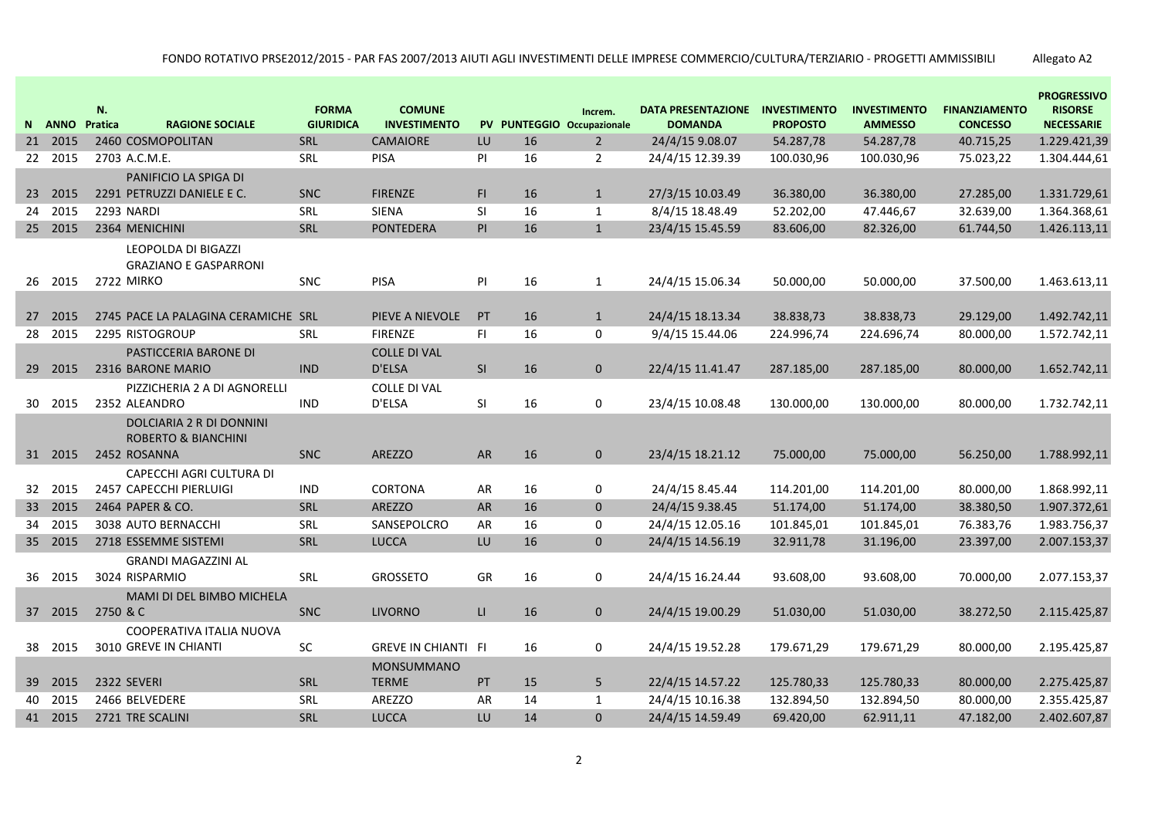|                 | N ANNO  | N.<br>Pratica<br><b>RAGIONE SOCIALE</b>                                    | <b>FORMA</b><br><b>GIURIDICA</b> | <b>COMUNE</b><br><b>INVESTIMENTO</b> |              |    | Increm.<br>PV PUNTEGGIO Occupazionale | <b>DATA PRESENTAZIONE</b><br><b>DOMANDA</b> | <b>INVESTIMENTO</b><br><b>PROPOSTO</b> | <b>INVESTIMENTO</b><br><b>AMMESSO</b> | <b>FINANZIAMENTO</b><br><b>CONCESSO</b> | <b>PROGRESSIVO</b><br><b>RISORSE</b><br><b>NECESSARIE</b> |
|-----------------|---------|----------------------------------------------------------------------------|----------------------------------|--------------------------------------|--------------|----|---------------------------------------|---------------------------------------------|----------------------------------------|---------------------------------------|-----------------------------------------|-----------------------------------------------------------|
| 21              | 2015    | 2460 COSMOPOLITAN                                                          | SRL                              | <b>CAMAIORE</b>                      | LU           | 16 | $\overline{2}$                        | 24/4/15 9.08.07                             | 54.287,78                              | 54.287,78                             | 40.715,25                               | 1.229.421,39                                              |
| 22 <sub>2</sub> | 2015    | 2703 A.C.M.E.                                                              | SRL                              | <b>PISA</b>                          | PI           | 16 | $\overline{2}$                        | 24/4/15 12.39.39                            | 100.030,96                             | 100.030,96                            | 75.023,22                               | 1.304.444,61                                              |
|                 |         | PANIFICIO LA SPIGA DI                                                      |                                  |                                      |              |    |                                       |                                             |                                        |                                       |                                         |                                                           |
| 23              | 2015    | 2291 PETRUZZI DANIELE E C.                                                 | <b>SNC</b>                       | <b>FIRENZE</b>                       | FI.          | 16 | $\mathbf{1}$                          | 27/3/15 10.03.49                            | 36.380,00                              | 36.380,00                             | 27.285,00                               | 1.331.729,61                                              |
| 24              | 2015    | <b>2293 NARDI</b>                                                          | SRL                              | <b>SIENA</b>                         | <b>SI</b>    | 16 | $\mathbf{1}$                          | 8/4/15 18.48.49                             | 52.202,00                              | 47.446,67                             | 32.639,00                               | 1.364.368,61                                              |
| 25              | 2015    | 2364 MENICHINI                                                             | SRL                              | <b>PONTEDERA</b>                     | PI           | 16 | $\mathbf{1}$                          | 23/4/15 15.45.59                            | 83.606,00                              | 82.326,00                             | 61.744,50                               | 1.426.113,11                                              |
| 26              | 2015    | LEOPOLDA DI BIGAZZI<br><b>GRAZIANO E GASPARRONI</b><br>2722 MIRKO          | <b>SNC</b>                       | <b>PISA</b>                          | PI           | 16 | $\mathbf{1}$                          | 24/4/15 15.06.34                            | 50.000,00                              | 50.000,00                             | 37.500,00                               | 1.463.613,11                                              |
|                 |         |                                                                            |                                  |                                      |              |    |                                       |                                             |                                        |                                       |                                         |                                                           |
| 27              | 2015    | 2745 PACE LA PALAGINA CERAMICHE SRL                                        |                                  | PIEVE A NIEVOLE                      | PT           | 16 | $\mathbf{1}$                          | 24/4/15 18.13.34                            | 38.838,73                              | 38.838,73                             | 29.129,00                               | 1.492.742,11                                              |
| 28              | 2015    | 2295 RISTOGROUP                                                            | <b>SRL</b>                       | <b>FIRENZE</b>                       | <b>FI</b>    | 16 | 0                                     | 9/4/15 15.44.06                             | 224.996,74                             | 224.696,74                            | 80.000,00                               | 1.572.742,11                                              |
|                 |         | <b>PASTICCERIA BARONE DI</b>                                               |                                  | <b>COLLE DI VAL</b>                  |              |    |                                       |                                             |                                        |                                       |                                         |                                                           |
|                 | 29 2015 | 2316 BARONE MARIO                                                          | <b>IND</b>                       | D'ELSA                               | SI           | 16 | $\mathbf{0}$                          | 22/4/15 11.41.47                            | 287.185,00                             | 287.185,00                            | 80.000,00                               | 1.652.742,11                                              |
| 30              | 2015    | PIZZICHERIA 2 A DI AGNORELLI<br>2352 ALEANDRO                              | <b>IND</b>                       | <b>COLLE DI VAL</b><br>D'ELSA        | SI           | 16 | $\mathbf 0$                           | 23/4/15 10.08.48                            | 130.000,00                             | 130.000,00                            | 80.000,00                               | 1.732.742,11                                              |
|                 | 31 2015 | DOLCIARIA 2 R DI DONNINI<br><b>ROBERTO &amp; BIANCHINI</b><br>2452 ROSANNA | <b>SNC</b>                       | <b>AREZZO</b>                        | AR           | 16 | $\mathbf{0}$                          | 23/4/15 18.21.12                            | 75.000,00                              | 75.000,00                             | 56.250,00                               | 1.788.992,11                                              |
|                 |         | CAPECCHI AGRI CULTURA DI                                                   |                                  |                                      |              |    |                                       |                                             |                                        |                                       |                                         |                                                           |
| 32              | 2015    | 2457 CAPECCHI PIERLUIGI                                                    | <b>IND</b>                       | <b>CORTONA</b>                       | AR           | 16 | 0                                     | 24/4/15 8.45.44                             | 114.201,00                             | 114.201,00                            | 80.000,00                               | 1.868.992,11                                              |
|                 | 33 2015 | 2464 PAPER & CO.                                                           | <b>SRL</b>                       | <b>AREZZO</b>                        | AR           | 16 | $\mathbf{0}$                          | 24/4/15 9.38.45                             | 51.174,00                              | 51.174,00                             | 38.380,50                               | 1.907.372,61                                              |
| 34              | 2015    | 3038 AUTO BERNACCHI                                                        | SRL                              | SANSEPOLCRO                          | AR           | 16 | 0                                     | 24/4/15 12.05.16                            | 101.845,01                             | 101.845,01                            | 76.383,76                               | 1.983.756,37                                              |
| 35 <sup>2</sup> | 2015    | 2718 ESSEMME SISTEMI                                                       | SRL                              | <b>LUCCA</b>                         | LU           | 16 | $\mathbf{0}$                          | 24/4/15 14.56.19                            | 32.911,78                              | 31.196,00                             | 23.397,00                               | 2.007.153,37                                              |
|                 |         | <b>GRANDI MAGAZZINI AL</b>                                                 |                                  |                                      |              |    |                                       |                                             |                                        |                                       |                                         |                                                           |
| 36              | 2015    | 3024 RISPARMIO                                                             | <b>SRL</b>                       | <b>GROSSETO</b>                      | GR           | 16 | 0                                     | 24/4/15 16.24.44                            | 93.608,00                              | 93.608,00                             | 70.000,00                               | 2.077.153,37                                              |
|                 |         | MAMI DI DEL BIMBO MICHELA                                                  |                                  |                                      |              |    |                                       |                                             |                                        |                                       |                                         |                                                           |
|                 | 37 2015 | 2750 & C                                                                   | <b>SNC</b>                       | <b>LIVORNO</b>                       | $\mathsf{H}$ | 16 | $\mathbf 0$                           | 24/4/15 19.00.29                            | 51.030,00                              | 51.030,00                             | 38.272,50                               | 2.115.425,87                                              |
|                 |         | COOPERATIVA ITALIA NUOVA                                                   |                                  |                                      |              |    |                                       |                                             |                                        |                                       |                                         |                                                           |
| 38              | 2015    | 3010 GREVE IN CHIANTI                                                      | SC                               | <b>GREVE IN CHIANTI FI</b>           |              | 16 | 0                                     | 24/4/15 19.52.28                            | 179.671,29                             | 179.671,29                            | 80.000,00                               | 2.195.425,87                                              |
|                 |         |                                                                            |                                  | <b>MONSUMMANO</b>                    |              |    |                                       |                                             |                                        |                                       |                                         |                                                           |
|                 | 39 2015 | 2322 SEVERI                                                                | SRL                              | <b>TERME</b>                         | PT           | 15 | 5                                     | 22/4/15 14.57.22                            | 125.780,33                             | 125.780,33                            | 80.000,00                               | 2.275.425,87                                              |
| 40              | 2015    | 2466 BELVEDERE                                                             | SRL                              | <b>AREZZO</b>                        | AR           | 14 | $\mathbf{1}$                          | 24/4/15 10.16.38                            | 132.894,50                             | 132.894,50                            | 80.000,00                               | 2.355.425,87                                              |
|                 | 41 2015 | 2721 TRE SCALINI                                                           | SRL                              | <b>LUCCA</b>                         | LU           | 14 | $\mathbf{0}$                          | 24/4/15 14.59.49                            | 69.420,00                              | 62.911,11                             | 47.182,00                               | 2.402.607,87                                              |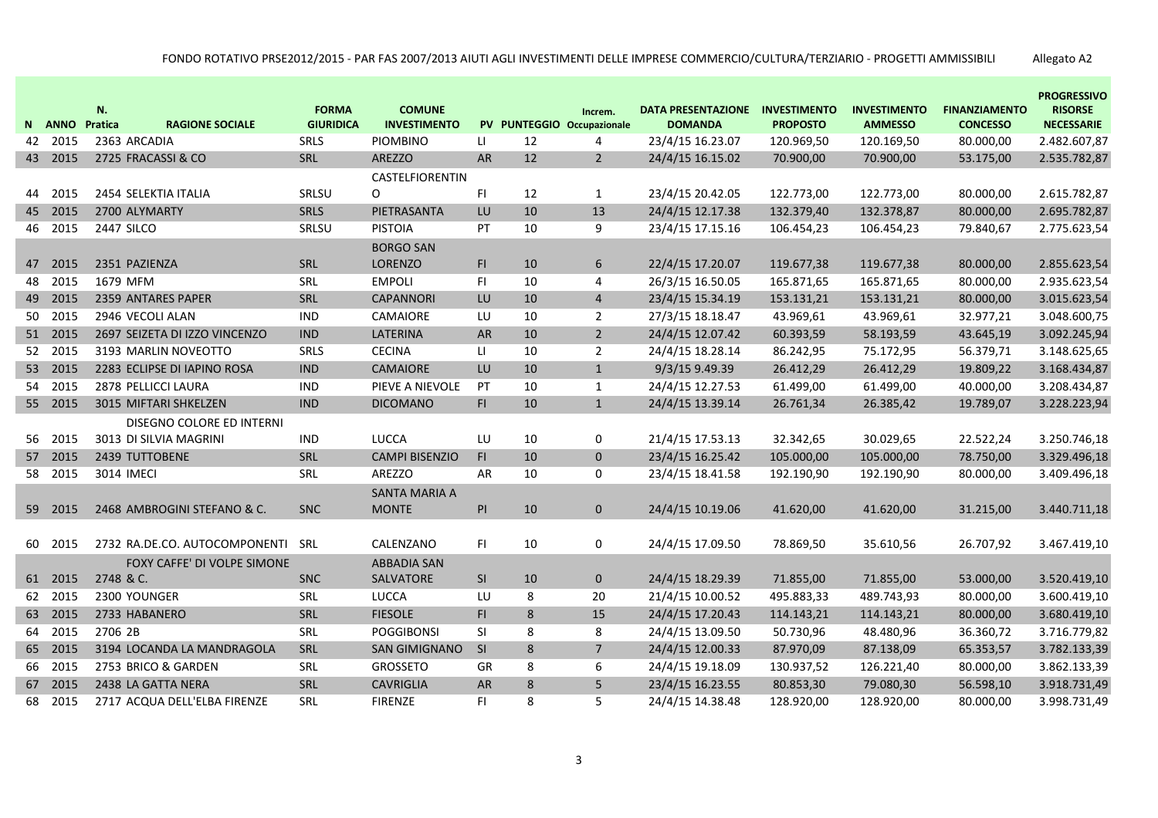|    |         | N.                |                               | <b>FORMA</b>     | <b>COMUNE</b>          |                |    | Increm.                    | <b>DATA PRESENTAZIONE</b> | <b>INVESTIMENTO</b> | <b>INVESTIMENTO</b> | <b>FINANZIAMENTO</b> | <b>PROGRESSIVO</b><br><b>RISORSE</b> |
|----|---------|-------------------|-------------------------------|------------------|------------------------|----------------|----|----------------------------|---------------------------|---------------------|---------------------|----------------------|--------------------------------------|
|    | N ANNO  | Pratica           | <b>RAGIONE SOCIALE</b>        | <b>GIURIDICA</b> | <b>INVESTIMENTO</b>    |                |    | PV PUNTEGGIO Occupazionale | <b>DOMANDA</b>            | <b>PROPOSTO</b>     | <b>AMMESSO</b>      | <b>CONCESSO</b>      | <b>NECESSARIE</b>                    |
|    | 42 2015 | 2363 ARCADIA      |                               | SRLS             | <b>PIOMBINO</b>        | LI.            | 12 | $\overline{4}$             | 23/4/15 16.23.07          | 120.969,50          | 120.169,50          | 80.000,00            | 2.482.607,87                         |
|    | 43 2015 |                   | 2725 FRACASSI & CO            | SRL              | AREZZO                 | AR             | 12 | $\overline{2}$             | 24/4/15 16.15.02          | 70.900,00           | 70.900,00           | 53.175,00            | 2.535.782,87                         |
|    |         |                   |                               |                  | <b>CASTELFIORENTIN</b> |                |    |                            |                           |                     |                     |                      |                                      |
| 44 | 2015    |                   | 2454 SELEKTIA ITALIA          | SRLSU            | O                      | F <sub>1</sub> | 12 | $\mathbf{1}$               | 23/4/15 20.42.05          | 122.773,00          | 122.773,00          | 80.000,00            | 2.615.782,87                         |
|    | 45 2015 | 2700 ALYMARTY     |                               | SRLS             | PIETRASANTA            | LU             | 10 | 13                         | 24/4/15 12.17.38          | 132.379,40          | 132.378,87          | 80.000,00            | 2.695.782,87                         |
|    | 46 2015 | <b>2447 SILCO</b> |                               | SRLSU            | <b>PISTOIA</b>         | PT             | 10 | 9                          | 23/4/15 17.15.16          | 106.454,23          | 106.454,23          | 79.840,67            | 2.775.623,54                         |
|    |         |                   |                               |                  | <b>BORGO SAN</b>       |                |    |                            |                           |                     |                     |                      |                                      |
|    | 47 2015 | 2351 PAZIENZA     |                               | SRL              | <b>LORENZO</b>         | FI.            | 10 | 6                          | 22/4/15 17.20.07          | 119.677,38          | 119.677,38          | 80.000,00            | 2.855.623,54                         |
|    | 48 2015 | 1679 MFM          |                               | SRL              | <b>EMPOLI</b>          | F1             | 10 | $\overline{4}$             | 26/3/15 16.50.05          | 165.871,65          | 165.871,65          | 80.000,00            | 2.935.623,54                         |
|    | 49 2015 |                   | 2359 ANTARES PAPER            | SRL              | <b>CAPANNORI</b>       | LU             | 10 | $\overline{4}$             | 23/4/15 15.34.19          | 153.131,21          | 153.131,21          | 80.000,00            | 3.015.623,54                         |
| 50 | 2015    |                   | 2946 VECOLI ALAN              | <b>IND</b>       | CAMAIORE               | LU             | 10 | $\overline{2}$             | 27/3/15 18.18.47          | 43.969,61           | 43.969,61           | 32.977,21            | 3.048.600,75                         |
|    | 51 2015 |                   | 2697 SEIZETA DI IZZO VINCENZO | <b>IND</b>       | LATERINA               | AR             | 10 | $\overline{2}$             | 24/4/15 12.07.42          | 60.393,59           | 58.193,59           | 43.645,19            | 3.092.245,94                         |
|    | 52 2015 |                   | 3193 MARLIN NOVEOTTO          | SRLS             | <b>CECINA</b>          | П              | 10 | $\overline{2}$             | 24/4/15 18.28.14          | 86.242,95           | 75.172,95           | 56.379,71            | 3.148.625,65                         |
|    | 53 2015 |                   | 2283 ECLIPSE DI IAPINO ROSA   | <b>IND</b>       | <b>CAMAIORE</b>        | LU             | 10 | $\mathbf{1}$               | 9/3/15 9.49.39            | 26.412,29           | 26.412,29           | 19.809,22            | 3.168.434,87                         |
|    | 54 2015 |                   | 2878 PELLICCI LAURA           | <b>IND</b>       | PIEVE A NIEVOLE        | PT             | 10 | $\mathbf{1}$               | 24/4/15 12.27.53          | 61.499,00           | 61.499,00           | 40.000,00            | 3.208.434,87                         |
|    | 55 2015 |                   | 3015 MIFTARI SHKELZEN         | <b>IND</b>       | <b>DICOMANO</b>        | F1             | 10 | $\mathbf{1}$               | 24/4/15 13.39.14          | 26.761,34           | 26.385,42           | 19.789,07            | 3.228.223,94                         |
|    |         |                   | DISEGNO COLORE ED INTERNI     |                  |                        |                |    |                            |                           |                     |                     |                      |                                      |
|    | 56 2015 |                   | 3013 DI SILVIA MAGRINI        | <b>IND</b>       | LUCCA                  | LU             | 10 | 0                          | 21/4/15 17.53.13          | 32.342,65           | 30.029,65           | 22.522,24            | 3.250.746,18                         |
|    | 57 2015 | 2439 TUTTOBENE    |                               | SRL              | <b>CAMPI BISENZIO</b>  | F1             | 10 | $\mathbf 0$                | 23/4/15 16.25.42          | 105.000,00          | 105.000,00          | 78.750,00            | 3.329.496,18                         |
|    | 58 2015 | 3014 IMECI        |                               | SRL              | AREZZO                 | AR             | 10 | 0                          | 23/4/15 18.41.58          | 192.190,90          | 192.190,90          | 80.000,00            | 3.409.496,18                         |
|    |         |                   |                               |                  | <b>SANTA MARIA A</b>   |                |    |                            |                           |                     |                     |                      |                                      |
|    | 59 2015 |                   | 2468 AMBROGINI STEFANO & C.   | <b>SNC</b>       | <b>MONTE</b>           | PI             | 10 | $\mathbf 0$                | 24/4/15 10.19.06          | 41.620,00           | 41.620,00           | 31.215,00            | 3.440.711,18                         |
|    |         |                   |                               |                  |                        |                |    |                            |                           |                     |                     |                      |                                      |
|    | 60 2015 |                   | 2732 RA.DE.CO. AUTOCOMPONENTI | SRL              | CALENZANO              | F1             | 10 | 0                          | 24/4/15 17.09.50          | 78.869,50           | 35.610,56           | 26.707,92            | 3.467.419,10                         |
|    |         |                   | FOXY CAFFE' DI VOLPE SIMONE   |                  | <b>ABBADIA SAN</b>     |                |    |                            |                           |                     |                     |                      |                                      |
|    | 61 2015 | 2748 & C.         |                               | <b>SNC</b>       | SALVATORE              | <b>SI</b>      | 10 | $\mathbf 0$                | 24/4/15 18.29.39          | 71.855,00           | 71.855,00           | 53.000,00            | 3.520.419,10                         |
|    | 62 2015 | 2300 YOUNGER      |                               | SRL              | LUCCA                  | LU             | 8  | 20                         | 21/4/15 10.00.52          | 495.883,33          | 489.743,93          | 80.000,00            | 3.600.419,10                         |
|    | 63 2015 | 2733 HABANERO     |                               | SRL              | <b>FIESOLE</b>         | F1             | 8  | 15                         | 24/4/15 17.20.43          | 114.143,21          | 114.143,21          | 80.000,00            | 3.680.419,10                         |
|    | 64 2015 | 2706 2B           |                               | SRL              | <b>POGGIBONSI</b>      | <b>SI</b>      | 8  | 8                          | 24/4/15 13.09.50          | 50.730,96           | 48.480,96           | 36.360,72            | 3.716.779,82                         |
|    | 65 2015 |                   | 3194 LOCANDA LA MANDRAGOLA    | SRL              | <b>SAN GIMIGNANO</b>   | <b>SI</b>      | 8  | 7                          | 24/4/15 12.00.33          | 87.970,09           | 87.138,09           | 65.353,57            | 3.782.133,39                         |
|    | 66 2015 |                   | 2753 BRICO & GARDEN           | SRL              | GROSSETO               | GR             | 8  | 6                          | 24/4/15 19.18.09          | 130.937,52          | 126.221,40          | 80.000,00            | 3.862.133,39                         |
|    | 67 2015 |                   | 2438 LA GATTA NERA            | SRL              | <b>CAVRIGLIA</b>       | AR             | 8  | 5                          | 23/4/15 16.23.55          | 80.853,30           | 79.080,30           | 56.598,10            | 3.918.731,49                         |
| 68 | 2015    |                   | 2717 ACQUA DELL'ELBA FIRENZE  | <b>SRL</b>       | <b>FIRENZE</b>         | F1             | 8  | 5                          | 24/4/15 14.38.48          | 128.920,00          | 128.920,00          | 80.000,00            | 3.998.731,49                         |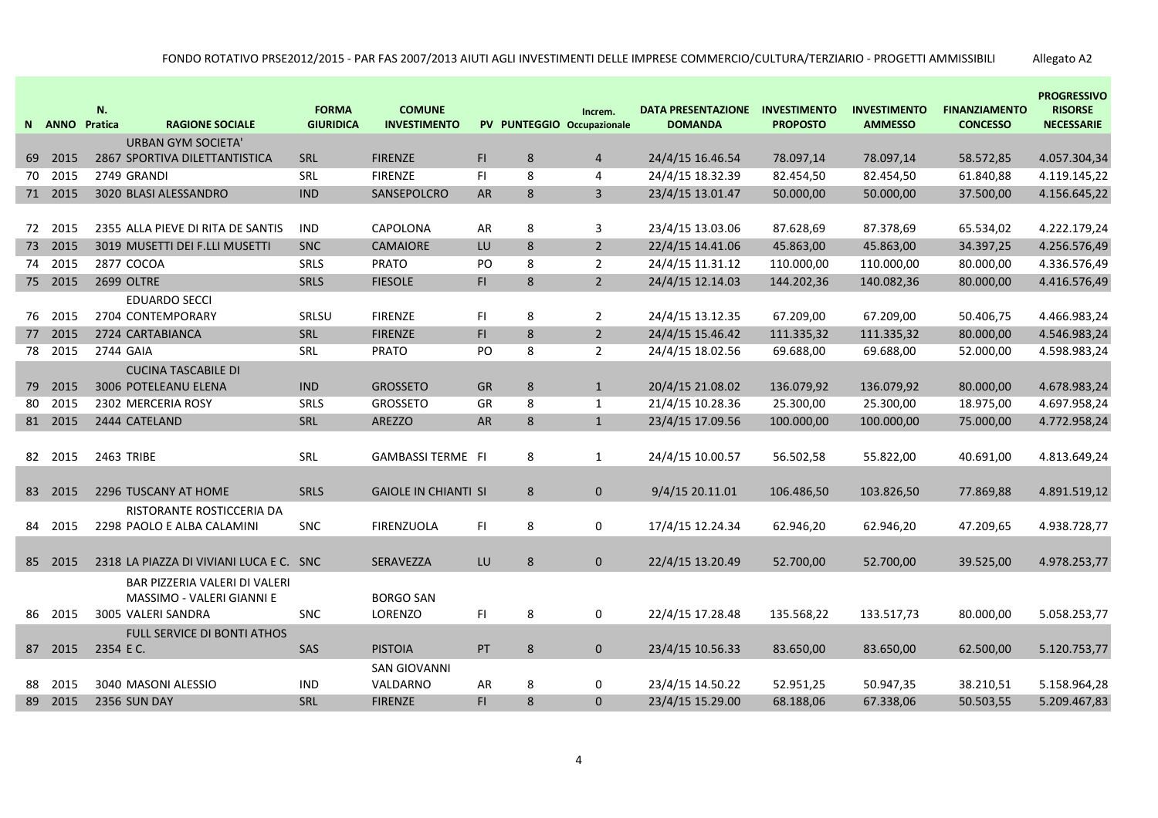|    | N ANNO Pratica | N.                | <b>RAGIONE SOCIALE</b>                                                           | <b>FORMA</b><br><b>GIURIDICA</b> | <b>COMUNE</b><br><b>INVESTIMENTO</b> |           |   | Increm.<br>PV PUNTEGGIO Occupazionale | <b>DATA PRESENTAZIONE</b><br><b>DOMANDA</b> | <b>INVESTIMENTO</b><br><b>PROPOSTO</b> | <b>INVESTIMENTO</b><br><b>AMMESSO</b> | <b>FINANZIAMENTO</b><br><b>CONCESSO</b> | <b>PROGRESSIVO</b><br><b>RISORSE</b><br><b>NECESSARIE</b> |
|----|----------------|-------------------|----------------------------------------------------------------------------------|----------------------------------|--------------------------------------|-----------|---|---------------------------------------|---------------------------------------------|----------------------------------------|---------------------------------------|-----------------------------------------|-----------------------------------------------------------|
|    |                |                   | <b>URBAN GYM SOCIETA'</b>                                                        |                                  |                                      |           |   |                                       |                                             |                                        |                                       |                                         |                                                           |
| 69 | 2015           |                   | 2867 SPORTIVA DILETTANTISTICA                                                    | SRL                              | <b>FIRENZE</b>                       | F1        | 8 | $\overline{4}$                        | 24/4/15 16.46.54                            | 78.097,14                              | 78.097,14                             | 58.572,85                               | 4.057.304,34                                              |
|    | 70 2015        | 2749 GRANDI       |                                                                                  | SRL                              | <b>FIRENZE</b>                       | F1        | 8 | $\overline{4}$                        | 24/4/15 18.32.39                            | 82.454,50                              | 82.454,50                             | 61.840,88                               | 4.119.145,22                                              |
|    | 71 2015        |                   | 3020 BLASI ALESSANDRO                                                            | <b>IND</b>                       | SANSEPOLCRO                          | AR        | 8 | $\overline{3}$                        | 23/4/15 13.01.47                            | 50.000,00                              | 50.000,00                             | 37.500,00                               | 4.156.645,22                                              |
|    |                |                   |                                                                                  |                                  |                                      |           |   |                                       |                                             |                                        |                                       |                                         |                                                           |
|    | 72 2015        |                   | 2355 ALLA PIEVE DI RITA DE SANTIS                                                | <b>IND</b>                       | CAPOLONA                             | AR        | 8 | 3                                     | 23/4/15 13.03.06                            | 87.628,69                              | 87.378,69                             | 65.534,02                               | 4.222.179,24                                              |
|    | 73 2015        |                   | 3019 MUSETTI DEI F.LLI MUSETTI                                                   | <b>SNC</b>                       | <b>CAMAIORE</b>                      | LU        | 8 | $\overline{2}$                        | 22/4/15 14.41.06                            | 45.863,00                              | 45.863,00                             | 34.397,25                               | 4.256.576,49                                              |
| 74 | 2015           | 2877 COCOA        |                                                                                  | SRLS                             | <b>PRATO</b>                         | PO        | 8 | $\overline{2}$                        | 24/4/15 11.31.12                            | 110.000,00                             | 110.000,00                            | 80.000,00                               | 4.336.576,49                                              |
|    | 75 2015        | 2699 OLTRE        |                                                                                  | <b>SRLS</b>                      | <b>FIESOLE</b>                       | FI.       | 8 | $\overline{2}$                        | 24/4/15 12.14.03                            | 144.202,36                             | 140.082,36                            | 80.000,00                               | 4.416.576,49                                              |
|    |                |                   | <b>EDUARDO SECCI</b>                                                             |                                  |                                      |           |   |                                       |                                             |                                        |                                       |                                         |                                                           |
|    | 76 2015        |                   | 2704 CONTEMPORARY                                                                | SRLSU                            | <b>FIRENZE</b>                       | FI.       | 8 | $\overline{2}$                        | 24/4/15 13.12.35                            | 67.209,00                              | 67.209,00                             | 50.406,75                               | 4.466.983,24                                              |
| 77 | 2015           |                   | 2724 CARTABIANCA                                                                 | SRL                              | <b>FIRENZE</b>                       | F1        | 8 | $\overline{2}$                        | 24/4/15 15.46.42                            | 111.335,32                             | 111.335,32                            | 80.000,00                               | 4.546.983,24                                              |
|    | 78 2015        | 2744 GAIA         |                                                                                  | SRL                              | <b>PRATO</b>                         | PO        | 8 | $\overline{2}$                        | 24/4/15 18.02.56                            | 69.688,00                              | 69.688,00                             | 52.000,00                               | 4.598.983,24                                              |
|    |                |                   | <b>CUCINA TASCABILE DI</b>                                                       |                                  |                                      |           |   |                                       |                                             |                                        |                                       |                                         |                                                           |
|    | 79 2015        |                   | 3006 POTELEANU ELENA                                                             | <b>IND</b>                       | <b>GROSSETO</b>                      | <b>GR</b> | 8 | $\mathbf{1}$                          | 20/4/15 21.08.02                            | 136.079,92                             | 136.079,92                            | 80.000,00                               | 4.678.983,24                                              |
| 80 | 2015           |                   | 2302 MERCERIA ROSY                                                               | SRLS                             | <b>GROSSETO</b>                      | GR        | 8 | $\mathbf{1}$                          | 21/4/15 10.28.36                            | 25.300,00                              | 25.300,00                             | 18.975,00                               | 4.697.958,24                                              |
|    | 81 2015        |                   | 2444 CATELAND                                                                    | SRL                              | AREZZO                               | AR        | 8 | $\mathbf{1}$                          | 23/4/15 17.09.56                            | 100.000,00                             | 100.000,00                            | 75.000,00                               | 4.772.958,24                                              |
|    | 82 2015        | <b>2463 TRIBE</b> |                                                                                  | SRL                              | <b>GAMBASSI TERME FI</b>             |           | 8 | $\mathbf{1}$                          | 24/4/15 10.00.57                            | 56.502,58                              | 55.822,00                             | 40.691,00                               | 4.813.649,24                                              |
|    | 83 2015        |                   | 2296 TUSCANY AT HOME                                                             | <b>SRLS</b>                      | <b>GAIOLE IN CHIANTI SI</b>          |           | 8 | $\mathbf{0}$                          | 9/4/15 20.11.01                             | 106.486,50                             | 103.826,50                            | 77.869,88                               | 4.891.519,12                                              |
|    |                |                   | RISTORANTE ROSTICCERIA DA                                                        |                                  |                                      |           |   |                                       |                                             |                                        |                                       |                                         |                                                           |
| 84 | 2015           |                   | 2298 PAOLO E ALBA CALAMINI                                                       | <b>SNC</b>                       | <b>FIRENZUOLA</b>                    | FI.       | 8 | $\mathbf 0$                           | 17/4/15 12.24.34                            | 62.946,20                              | 62.946,20                             | 47.209,65                               | 4.938.728,77                                              |
|    |                |                   |                                                                                  |                                  |                                      |           |   |                                       |                                             |                                        |                                       |                                         |                                                           |
|    | 85 2015        |                   | 2318 LA PIAZZA DI VIVIANI LUCA E C. SNC                                          |                                  | SERAVEZZA                            | LU        | 8 | $\mathbf{0}$                          | 22/4/15 13.20.49                            | 52.700,00                              | 52.700,00                             | 39.525,00                               | 4.978.253,77                                              |
|    | 86 2015        |                   | BAR PIZZERIA VALERI DI VALERI<br>MASSIMO - VALERI GIANNI E<br>3005 VALERI SANDRA | <b>SNC</b>                       | <b>BORGO SAN</b><br>LORENZO          | FI.       | 8 | $\mathbf 0$                           | 22/4/15 17.28.48                            | 135.568,22                             | 133.517,73                            | 80.000,00                               | 5.058.253,77                                              |
|    |                |                   | <b>FULL SERVICE DI BONTI ATHOS</b>                                               |                                  |                                      |           |   |                                       |                                             |                                        |                                       |                                         |                                                           |
|    | 87 2015        | 2354 E C.         |                                                                                  | SAS                              | <b>PISTOIA</b>                       | PT        | 8 | $\mathbf{0}$                          | 23/4/15 10.56.33                            | 83.650,00                              | 83.650,00                             | 62.500,00                               | 5.120.753,77                                              |
|    |                |                   |                                                                                  |                                  | <b>SAN GIOVANNI</b>                  |           |   |                                       |                                             |                                        |                                       |                                         |                                                           |
| 88 | 2015           |                   | 3040 MASONI ALESSIO                                                              | <b>IND</b>                       | VALDARNO                             | AR        | 8 | 0                                     | 23/4/15 14.50.22                            | 52.951,25                              | 50.947,35                             | 38.210,51                               | 5.158.964,28                                              |
|    | 89 2015        | 2356 SUN DAY      |                                                                                  | SRL                              | <b>FIRENZE</b>                       | FI.       | 8 | $\mathbf{0}$                          | 23/4/15 15.29.00                            | 68.188,06                              | 67.338,06                             | 50.503,55                               | 5.209.467,83                                              |
|    |                |                   |                                                                                  |                                  |                                      |           |   |                                       |                                             |                                        |                                       |                                         |                                                           |